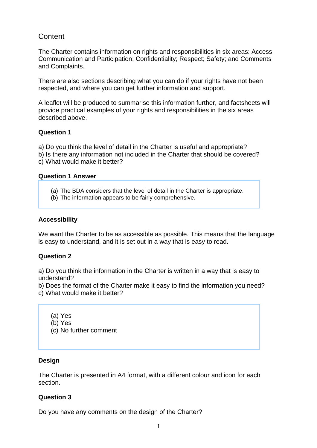# **Content**

The Charter contains information on rights and responsibilities in six areas: Access, Communication and Participation; Confidentiality; Respect; Safety; and Comments and Complaints.

There are also sections describing what you can do if your rights have not been respected, and where you can get further information and support.

A leaflet will be produced to summarise this information further, and factsheets will provide practical examples of your rights and responsibilities in the six areas described above.

## **Question 1**

a) Do you think the level of detail in the Charter is useful and appropriate? b) Is there any information not included in the Charter that should be covered? c) What would make it better?

## **Question 1 Answer**

- (a) The BDA considers that the level of detail in the Charter is appropriate.
- (b) The information appears to be fairly comprehensive.

# **Accessibility**

We want the Charter to be as accessible as possible. This means that the language is easy to understand, and it is set out in a way that is easy to read.

## **Question 2**

a) Do you think the information in the Charter is written in a way that is easy to understand?

b) Does the format of the Charter make it easy to find the information you need? c) What would make it better?

(a) Yes

(b) Yes

(c) No further comment

# **Design**

The Charter is presented in A4 format, with a different colour and icon for each section.

## **Question 3**

Do you have any comments on the design of the Charter?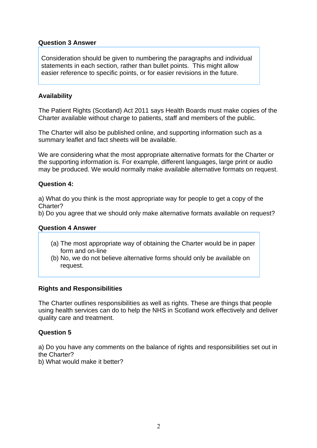# **Question 3 Answer**

Consideration should be given to numbering the paragraphs and individual statements in each section, rather than bullet points. This might allow easier reference to specific points, or for easier revisions in the future.

## **Availability**

The Patient Rights (Scotland) Act 2011 says Health Boards must make copies of the Charter available without charge to patients, staff and members of the public.

The Charter will also be published online, and supporting information such as a summary leaflet and fact sheets will be available.

We are considering what the most appropriate alternative formats for the Charter or the supporting information is. For example, different languages, large print or audio may be produced. We would normally make available alternative formats on request.

## **Question 4:**

a) What do you think is the most appropriate way for people to get a copy of the Charter?

b) Do you agree that we should only make alternative formats available on request?

### **Question 4 Answer**

- (a) The most appropriate way of obtaining the Charter would be in paper form and on-line
- (b) No, we do not believe alternative forms should only be available on request.

## **Rights and Responsibilities**

The Charter outlines responsibilities as well as rights. These are things that people using health services can do to help the NHS in Scotland work effectively and deliver quality care and treatment.

## **Question 5**

a) Do you have any comments on the balance of rights and responsibilities set out in the Charter?

b) What would make it better?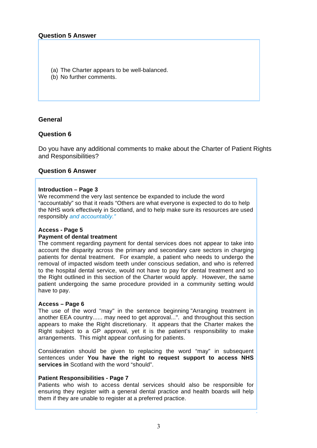- (a) The Charter appears to be well-balanced.
- (b) No further comments.

### **General**

## **Question 6**

Do you have any additional comments to make about the Charter of Patient Rights and Responsibilities?

### **Question 6 Answer**

#### **Introduction – Page 3**

We recommend the very last sentence be expanded to include the word "accountably" so that it reads "Others are what everyone is expected to do to help the NHS work effectively in Scotland, and to help make sure its resources are used responsibly *and accountably."*

### **Access - Page 5**

#### **Payment of dental treatment**

The comment regarding payment for dental services does not appear to take into account the disparity across the primary and secondary care sectors in charging patients for dental treatment. For example, a patient who needs to undergo the removal of impacted wisdom teeth under conscious sedation, and who is referred to the hospital dental service, would not have to pay for dental treatment and so the Right outlined in this section of the Charter would apply. However, the same patient undergoing the same procedure provided in a community setting would have to pay.

#### **Access – Page 6**

The use of the word "may" in the sentence beginning "Arranging treatment in another EEA country...... may need to get approval...". and throughout this section appears to make the Right discretionary. It appears that the Charter makes the Right subject to a GP approval, yet it is the patient's responsibility to make arrangements. This might appear confusing for patients.

Consideration should be given to replacing the word "may" in subsequent sentences under **You have the right to request support to access NHS services in** Scotland with the word "should".

### **Patient Responsibilities - Page 7**

Patients who wish to access dental services should also be responsible for ensuring they register with a general dental practice and health boards will help them if they are unable to register at a preferred practice.